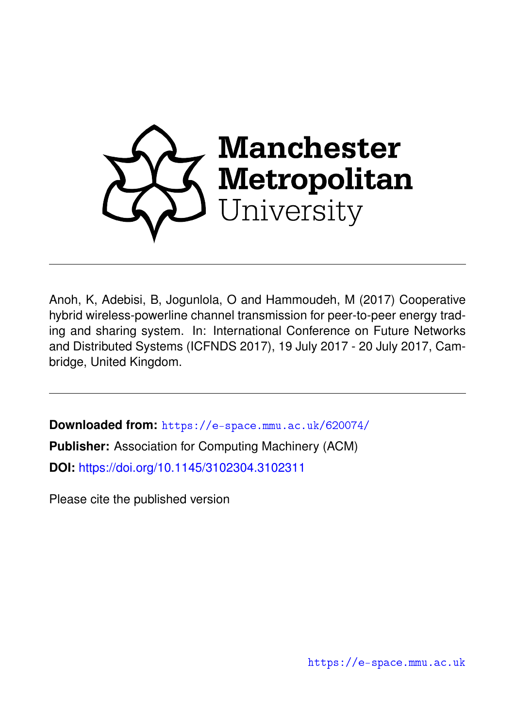

Anoh, K, Adebisi, B, Jogunlola, O and Hammoudeh, M (2017) Cooperative hybrid wireless-powerline channel transmission for peer-to-peer energy trading and sharing system. In: International Conference on Future Networks and Distributed Systems (ICFNDS 2017), 19 July 2017 - 20 July 2017, Cambridge, United Kingdom.

**Downloaded from:** <https://e-space.mmu.ac.uk/620074/> **Publisher:** Association for Computing Machinery (ACM) **DOI:** <https://doi.org/10.1145/3102304.3102311>

Please cite the published version

<https://e-space.mmu.ac.uk>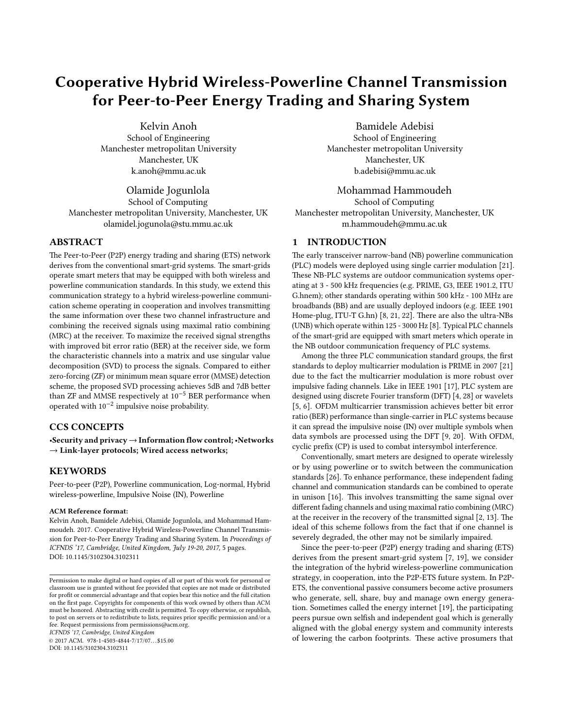# Cooperative Hybrid Wireless-Powerline Channel Transmission for Peer-to-Peer Energy Trading and Sharing System

Kelvin Anoh School of Engineering Manchester metropolitan University Manchester, UK k.anoh@mmu.ac.uk

Olamide Jogunlola School of Computing Manchester metropolitan University, Manchester, UK olamidel.jogunola@stu.mmu.ac.uk

## ABSTRACT

The Peer-to-Peer (P2P) energy trading and sharing (ETS) network derives from the conventional smart-grid systems. The smart-grids operate smart meters that may be equipped with both wireless and powerline communication standards. In this study, we extend this communication strategy to a hybrid wireless-powerline communication scheme operating in cooperation and involves transmitting the same information over these two channel infrastructure and combining the received signals using maximal ratio combining (MRC) at the receiver. To maximize the received signal strengths with improved bit error ratio (BER) at the receiver side, we form the characteristic channels into a matrix and use singular value decomposition (SVD) to process the signals. Compared to either zero-forcing (ZF) or minimum mean square error (MMSE) detection scheme, the proposed SVD processing achieves 5dB and 7dB better than ZF and MMSE respectively at 10−<sup>5</sup> BER performance when operated with 10−<sup>2</sup> impulsive noise probability.

## CCS CONCEPTS

•Security and privacy → Information flow control; •Networks  $\rightarrow$  Link-layer protocols; Wired access networks;

## **KEYWORDS**

Peer-to-peer (P2P), Powerline communication, Log-normal, Hybrid wireless-powerline, Impulsive Noise (IN), Powerline

#### ACM Reference format:

Kelvin Anoh, Bamidele Adebisi, Olamide Jogunlola, and Mohammad Hammoudeh. 2017. Cooperative Hybrid Wireless-Powerline Channel Transmission for Peer-to-Peer Energy Trading and Sharing System. In Proceedings of ICFNDS '17, Cambridge, United Kingdom, July 19-20, 2017, [5](#page-5-0) pages. DOI: 10.1145/3102304.3102311

ICFNDS '17, Cambridge, United Kingdom

© 2017 ACM. 978-1-4503-4844-7/17/07. . . \$15.00 DOI: 10.1145/3102304.3102311

Bamidele Adebisi School of Engineering Manchester metropolitan University Manchester, UK b.adebisi@mmu.ac.uk

#### Mohammad Hammoudeh

School of Computing Manchester metropolitan University, Manchester, UK m.hammoudeh@mmu.ac.uk

## <span id="page-1-0"></span>1 INTRODUCTION

The early transceiver narrow-band (NB) powerline communication (PLC) models were deployed using single carrier modulation [\[21\]](#page-5-1). These NB-PLC systems are outdoor communication systems operating at 3 - 500 kHz frequencies (e.g. PRIME, G3, IEEE 1901.2, ITU G.hnem); other standards operating within 500 kHz - 100 MHz are broadbands (BB) and are usually deployed indoors (e.g. IEEE 1901 Home-plug, ITU-T G.hn) [\[8,](#page-5-2) [21,](#page-5-1) [22\]](#page-5-3). There are also the ultra-NBs (UNB) which operate within 125 - 3000 Hz [\[8\]](#page-5-2). Typical PLC channels of the smart-grid are equipped with smart meters which operate in the NB outdoor communication frequency of PLC systems.

Among the three PLC communication standard groups, the first standards to deploy multicarrier modulation is PRIME in 2007 [\[21\]](#page-5-1) due to the fact the multicarrier modulation is more robust over impulsive fading channels. Like in IEEE 1901 [\[17\]](#page-5-4), PLC system are designed using discrete Fourier transform (DFT) [\[4,](#page-5-5) [28\]](#page-5-6) or wavelets [\[5,](#page-5-7) [6\]](#page-5-8). OFDM multicarrier transmission achieves better bit error ratio (BER) performance than single-carrier in PLC systems because it can spread the impulsive noise (IN) over multiple symbols when data symbols are processed using the DFT [\[9,](#page-5-9) [20\]](#page-5-10). With OFDM, cyclic prefix (CP) is used to combat intersymbol interference.

Conventionally, smart meters are designed to operate wirelessly or by using powerline or to switch between the communication standards [\[26\]](#page-5-11). To enhance performance, these independent fading channel and communication standards can be combined to operate in unison [\[16\]](#page-5-12). This involves transmitting the same signal over different fading channels and using maximal ratio combining (MRC) at the receiver in the recovery of the transmitted signal  $[2, 13]$  $[2, 13]$  $[2, 13]$ . The ideal of this scheme follows from the fact that if one channel is severely degraded, the other may not be similarly impaired.

Since the peer-to-peer (P2P) energy trading and sharing (ETS) derives from the present smart-grid system [\[7,](#page-5-15) [19\]](#page-5-16), we consider the integration of the hybrid wireless-powerline communication strategy, in cooperation, into the P2P-ETS future system. In P2P-ETS, the conventional passive consumers become active prosumers who generate, sell, share, buy and manage own energy generation. Sometimes called the energy internet [\[19\]](#page-5-16), the participating peers pursue own selfish and independent goal which is generally aligned with the global energy system and community interests of lowering the carbon footprints. These active prosumers that

Permission to make digital or hard copies of all or part of this work for personal or classroom use is granted without fee provided that copies are not made or distributed for profit or commercial advantage and that copies bear this notice and the full citation on the first page. Copyrights for components of this work owned by others than ACM must be honored. Abstracting with credit is permitted. To copy otherwise, or republish, to post on servers or to redistribute to lists, requires prior specific permission and/or a fee. Request permissions from permissions@acm.org.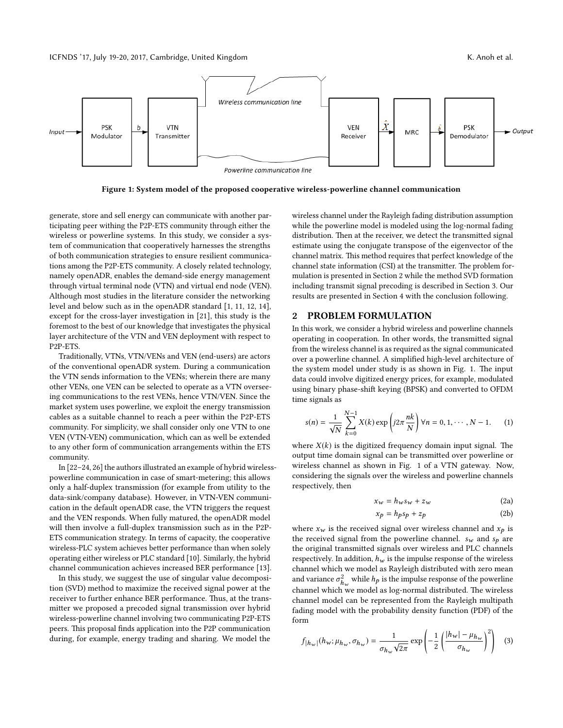<span id="page-2-1"></span>

Figure 1: System model of the proposed cooperative wireless-powerline channel communication

generate, store and sell energy can communicate with another participating peer withing the P2P-ETS community through either the wireless or powerline systems. In this study, we consider a system of communication that cooperatively harnesses the strengths of both communication strategies to ensure resilient communications among the P2P-ETS community. A closely related technology, namely openADR, enables the demand-side energy management through virtual terminal node (VTN) and virtual end node (VEN). Although most studies in the literature consider the networking level and below such as in the openADR standard [\[1,](#page-5-17) [11,](#page-5-18) [12,](#page-5-19) [14\]](#page-5-20), except for the cross-layer investigation in [\[21\]](#page-5-1), this study is the foremost to the best of our knowledge that investigates the physical layer architecture of the VTN and VEN deployment with respect to P2P-ETS.

Traditionally, VTNs, VTN/VENs and VEN (end-users) are actors of the conventional openADR system. During a communication the VTN sends information to the VENs; wherein there are many other VENs, one VEN can be selected to operate as a VTN overseeing communications to the rest VENs, hence VTN/VEN. Since the market system uses powerline, we exploit the energy transmission cables as a suitable channel to reach a peer within the P2P-ETS community. For simplicity, we shall consider only one VTN to one VEN (VTN-VEN) communication, which can as well be extended to any other form of communication arrangements within the ETS community.

In [\[22](#page-5-3)[–24,](#page-5-21) [26\]](#page-5-11) the authors illustrated an example of hybrid wirelesspowerline communication in case of smart-metering; this allows only a half-duplex transmission (for example from utility to the data-sink/company database). However, in VTN-VEN communication in the default openADR case, the VTN triggers the request and the VEN responds. When fully matured, the openADR model will then involve a full-duplex transmission such as in the P2P-ETS communication strategy. In terms of capacity, the cooperative wireless-PLC system achieves better performance than when solely operating either wireless or PLC standard [\[10\]](#page-5-22). Similarly, the hybrid channel communication achieves increased BER performance [\[13\]](#page-5-14).

In this study, we suggest the use of singular value decomposition (SVD) method to maximize the received signal power at the receiver to further enhance BER performance. Thus, at the transmitter we proposed a precoded signal transmission over hybrid wireless-powerline channel involving two communicating P2P-ETS peers. This proposal finds application into the P2P communication during, for example, energy trading and sharing. We model the

wireless channel under the Rayleigh fading distribution assumption while the powerline model is modeled using the log-normal fading distribution. Then at the receiver, we detect the transmitted signal estimate using the conjugate transpose of the eigenvector of the channel matrix. This method requires that perfect knowledge of the channel state information (CSI) at the transmitter. The problem formulation is presented in Section [2](#page-2-0) while the method SVD formation including transmit signal precoding is described in Section [3.](#page-3-0) Our results are presented in Section [4](#page-4-0) with the conclusion following.

#### <span id="page-2-0"></span>2 PROBLEM FORMULATION

In this work, we consider a hybrid wireless and powerline channels operating in cooperation. In other words, the transmitted signal from the wireless channel is as required as the signal communicated over a powerline channel. A simplified high-level architecture of the system model under study is as shown in Fig. [1.](#page-2-1) The input data could involve digitized energy prices, for example, modulated using binary phase-shift keying (BPSK) and converted to OFDM time signals as

<span id="page-2-4"></span>
$$
s(n) = \frac{1}{\sqrt{N}} \sum_{k=0}^{N-1} X(k) \exp\left(j2\pi \frac{nk}{N}\right) \forall n = 0, 1, \cdots, N-1.
$$
 (1)

where  $X(k)$  is the digitized frequency domain input signal. The output time domain signal can be transmitted over powerline or wireless channel as shown in Fig. [1](#page-2-1) of a VTN gateway. Now, considering the signals over the wireless and powerline channels respectively, then

$$
x_w = h_w s_w + z_w \tag{2a}
$$

<span id="page-2-3"></span><span id="page-2-2"></span>
$$
x_p = h_p s_p + z_p \tag{2b}
$$

where  $x_w$  is the received signal over wireless channel and  $x_p$  is the received signal from the powerline channel.  $s_w$  and  $s_p$  are the original transmitted signals over wireless and PLC channels respectively. In addition,  $h_w$  is the impulse response of the wireless channel which we model as Rayleigh distributed with zero mean and variance  $\sigma_{h_w}^2$  while  $h_p$  is the impulse response of the powerline channel which we model as log-normal distributed. The wireless channel model can be represented from the Rayleigh multipath fading model with the probability density function (PDF) of the form

$$
f_{|h_w|}(h_w; \mu_{h_w}, \sigma_{h_w}) = \frac{1}{\sigma_{h_w} \sqrt{2\pi}} \exp\left(-\frac{1}{2} \left(\frac{|h_w| - \mu_{h_w}}{\sigma_{h_w}}\right)^2\right) \tag{3}
$$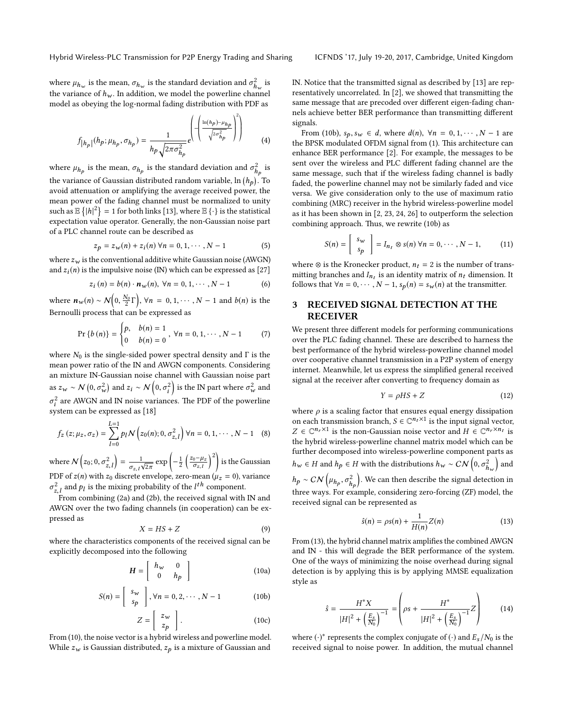where  $\mu_{h_{\mathbf{w}}}$  is the mean,  $\sigma_{h_{\mathbf{w}}}$  is the standard deviation and  $\sigma_{h_{\mathbf{w}}}^2$  is<br>the universe of  $h_{\mathbf{w}}$ . In addition, we model the neuraline about all the variance of  $h_w$ . In addition, we model the powerline channel<br>model as obeying the log-normal fading distribution with PDF as model as obeying the log-normal fading distribution with PDF as

$$
f_{\left|h_{p}\right|}(h_{p};\mu_{h_{p}},\sigma_{h_{p}}) = \frac{1}{h_{p}\sqrt{2\pi\sigma_{h_{p}}^{2}}}e^{\left(-\left(\frac{\ln(h_{p})-\mu_{h_{p}}}{\sqrt{2\sigma_{h_{p}}^{2}}}\right)^{2}\right)}
$$
(4)

 $\sqrt{2}$ 

where  $\mu_{h_p}$  is the mean,  $\sigma_{h_p}$  is the standard deviation and  $\sigma_{h_p}^2$  is the variance of Gaussian distributed random variable,  $\ln (h_p)$ . To avoid attenuation or amplifying the average received power, the mean power of the fading channel must be normalized to unity such as  $\mathbb{E}\{|h|^2\} = 1$  for both links [\[13\]](#page-5-14), where  $\mathbb{E}\{\cdot\}$  is the statistical<br>expectation value operator. Generally, the non-Gaussian noise part expectation value operator. Generally, the non-Gaussian noise part of a PLC channel route can be described as

$$
z_p = z_w(n) + z_i(n) \,\forall n = 0, 1, \cdots, N - 1 \tag{5}
$$

where  $z_w$  is the conventional additive white Gaussian noise (AWGN) and  $z<sub>i</sub>(n)$  is the impulsive noise (IN) which can be expressed as [\[27\]](#page-5-23)

$$
z_i(n) = b(n) \cdot n_w(n), \ \forall n = 0, 1, \cdots, N-1 \tag{6}
$$

where  $n_w(n) \sim \mathcal{N}\left(0, \frac{N_0}{2}\Gamma\right)$ ,  $\forall n = 0, 1, \cdots, N-1$  and  $b(n)$  is the  $\mathbb{R}^n$   $($   $\frac{1}{2}$   $)$ <br>Bernoulli process that can be expressed as

$$
\Pr\{b(n)\} = \begin{cases} p, & b(n) = 1 \\ 0 & b(n) = 0 \end{cases}, \forall n = 0, 1, \cdots, N-1 \tag{7}
$$

where  $N_0$  is the single-sided power spectral density and  $\Gamma$  is the mean power ratio of the IN and AWGN components. Considering an mixture IN-Gaussian noise channel with Gaussian noise part as  $z_w \sim N(0, \sigma_w^2)$  and  $z_i \sim N(0, \sigma_i^2)$  is the IN part where  $\sigma_w^2$  and  $\frac{2}{h}$  are AWGN and IN noise variances. The PDF of the powerline σ i system can be expressed as [\[18\]](#page-5-24)

$$
f_z(z; \mu_z, \sigma_z) = \sum_{l=0}^{L=1} p_l N\left(z_0(n); 0, \sigma_{z,l}^2\right) \forall n = 0, 1, \cdots, N-1 \quad (8)
$$

where  $N(z_0; 0, \sigma_{z,t}^2) = \frac{1}{\sigma_{z,t}\sqrt{2\pi}}$ PDF of  $z(n)$  with  $z_0$  discrete envelope, zero-mean ( $\mu_z = 0$ ), variance  $\exp\left(-\frac{1}{2}\left(\frac{z_0-\mu_z}{\sigma_{z,l}}\right)\right)$  $\Big)^2\Big)$  is the Gaussian  $\frac{2}{z}$ , and  $p_l$  is the mixing probability of the  $l^{th}$  component.

From combining [\(2a\)](#page-2-2) and [\(2b\)](#page-2-3), the received signal with IN and AWGN over the two fading channels (in cooperation) can be expressed as

<span id="page-3-1"></span>
$$
X = HS + Z \tag{9}
$$

 $X = HS + Z \tag{9}$  where the characteristics components of the received signal can be explicitly decomposed into the following

<span id="page-3-5"></span>
$$
H = \left[ \begin{array}{cc} h_{w} & 0 \\ 0 & h_{p} \end{array} \right] \tag{10a}
$$

<span id="page-3-2"></span>
$$
S(n) = \begin{bmatrix} s_w \\ s_p \end{bmatrix}, \forall n = 0, 2, \cdots, N-1 \tag{10b}
$$

$$
Z = \left[ \begin{array}{c} z_w \\ z_p \end{array} \right].
$$
 (10c)

 $\frac{1-p}{p-1}$  From [\(10\)](#page-3-1), the noise vector is a hybrid wireless and powerline model. While  $z_w$  is Gaussian distributed,  $z_p$  is a mixture of Gaussian and

IN. Notice that the transmitted signal as described by  $[13]$  are representatively uncorrelated. In  $[2]$ , we showed that transmitting the same message that are precoded over different eigen-fading channels achieve better BER performance than transmitting different signals.

From [\(10b\)](#page-3-2),  $s_p, s_w \in d$ , where  $d(n)$ ,  $∀n = 0, 1, \cdots, N - 1$  are the BPSK modulated OFDM signal from [\(1\)](#page-2-4). This architecture can enhance BER performance [\[2\]](#page-5-13). For example, the messages to be sent over the wireless and PLC different fading channel are the same message, such that if the wireless fading channel is badly faded, the powerline channel may not be similarly faded and vice versa. We give consideration only to the use of maximum ratio combining (MRC) receiver in the hybrid wireless-powerline model as it has been shown in [\[2,](#page-5-13) [23,](#page-5-25) [24,](#page-5-21) [26\]](#page-5-11) to outperform the selection combining approach. Thus, we rewrite [\(10b\)](#page-3-2) as

$$
S(n) = \left[ \begin{array}{c} s_w \\ s_p \end{array} \right] = I_{n_t} \otimes s(n) \,\forall n = 0, \cdots, N-1,
$$
 (11)

where ⊗ is the Kronecker product,  $n_t = 2$  is the number of transmitting branches and  $I_{n_t}$  is an identity matrix of  $n_t$  dimension. It<br>follows that  $\forall n = 0, ..., N-1$  s  $(n) = s$ , (n) at the transmitter follows that  $\forall n = 0, \dots, N-1$ ,  $s_p(n) = s_w(n)$  at the transmitter.

# <span id="page-3-0"></span>3 RECEIVED SIGNAL DETECTION AT THE RECEIVER

We present three different models for performing communications over the PLC fading channel. These are described to harness the best performance of the hybrid wireless-powerline channel model over cooperative channel transmission in a P2P system of energy internet. Meanwhile, let us express the simplified general received signal at the receiver after converting to frequency domain as

<span id="page-3-4"></span>
$$
Y = \rho HS + Z \tag{12}
$$

where  $\rho$  is a scaling factor that ensures equal energy dissipation on each transmission branch,  $S \in \mathbb{C}^{n_t \times 1}$  is the input signal vector,  $Z \in \mathbb{C}^{n_t \times 1}$  is the non-Gaussian poise vector and  $H \in \mathbb{C}^{n_t \times n_t}$  is  $Z \in \mathbb{C}^{n_r \times 1}$  is the non-Gaussian noise vector and  $H \in \mathbb{C}^{n_r \times n_t}$  is<br>the hybrid wireless-nowerline channel matrix model which can be the hybrid wireless-powerline channel matrix model which can be further decomposed into wireless-powerline component parts as  $h_w ∈ H$  and  $h_p ∈ H$  with the distributions  $h_w ∼ CN(0, \sigma_{h_w}^2)$  and  $h_p \sim CN\left(\mu_{h_p}, \sigma_{h_p}^2\right)$ . We can then describe the signal detection in  $\mu$ <sup>p</sup>  $\cdots$  ( $m_p$ ,  $h_p$ )<br>three ways. For example, considering zero-forcing (ZF) model, the received signal can be represented as

<span id="page-3-3"></span>
$$
\hat{s}(n) = \rho s(n) + \frac{1}{H(n)} Z(n) \tag{13}
$$

From [\(13\)](#page-3-3), the hybrid channel matrix amplifies the combined AWGN and IN - this will degrade the BER performance of the system. One of the ways of minimizing the noise overhead during signal detection is by applying this is by applying MMSE equalization style as

$$
\hat{s} = \frac{H^* X}{|H|^2 + \left(\frac{E_s}{N_0}\right)^{-1}} = \left(\rho s + \frac{H^*}{|H|^2 + \left(\frac{E_s}{N_0}\right)^{-1}} Z\right) \tag{14}
$$

where  $(\cdot)^*$  represents the complex conjugate of  $(\cdot)$  and  $E_s/N_0$  is the received signal to noise power. In addition, the mutual channel received signal to noise power. In addition, the mutual channel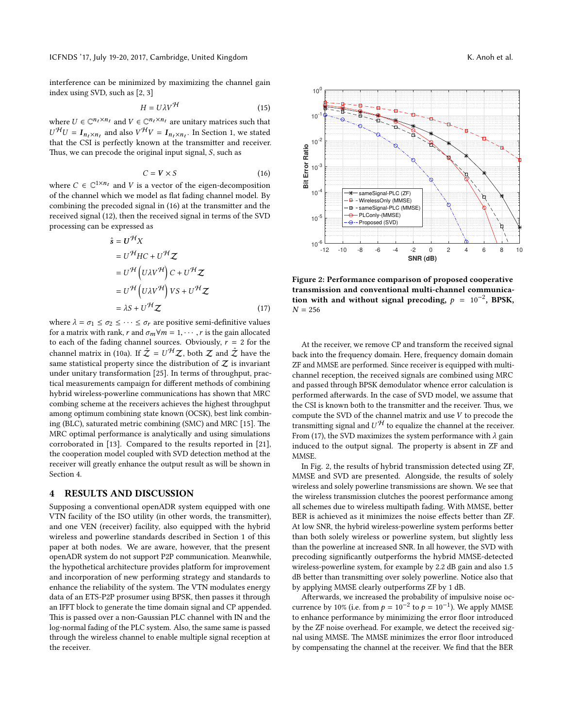interference can be minimized by maximizing the channel gain index using SVD, such as [\[2,](#page-5-13) [3\]](#page-5-26)

$$
H = U\lambda V^{\mathcal{H}} \tag{15}
$$

where  $U \in \mathbb{C}^{n_t \times n_t}$  and  $V \in \mathbb{C}^{n_t \times n_t}$  are unitary matrices such that  $U^{\mathcal{H}}U = I$  and also  $V^{\mathcal{H}}V = I$  are Section 1, we stated that the CSI is perfectly known at the transmitter and receiver.  $\mathcal{H}_U = I_{n_t \times n_t}$  and also  $V^{\mathcal{H}} V = I_{n_t \times n_t}$ . In Section [1,](#page-1-0) we stated at the CSI is perfectly known at the transmitter and receiver Thus, we can precode the original input signal,  $S$ , such as

<span id="page-4-1"></span>
$$
C = \mathbf{V} \times \mathbf{S} \tag{16}
$$

where  $C \in \mathbb{C}^{1 \times n_t}$  and V is a vector of the eigen-decomposition of the channel which we model as flat fading channel model. By of the channel which we model as flat fading channel model. By combining the precoded signal in [\(16\)](#page-4-1) at the transmitter and the received signal [\(12\)](#page-3-4), then the received signal in terms of the SVD processing can be expressed as

$$
\hat{s} = U^{\mathcal{H}} X
$$
  
\n
$$
= U^{\mathcal{H}} HC + U^{\mathcal{H}} Z
$$
  
\n
$$
= U^{\mathcal{H}} (U\lambda V^{\mathcal{H}}) C + U^{\mathcal{H}} Z
$$
  
\n
$$
= U^{\mathcal{H}} (U\lambda V^{\mathcal{H}}) V S + U^{\mathcal{H}} Z
$$
  
\n
$$
= \lambda S + U^{\mathcal{H}} Z
$$
 (17)

where  $\lambda = \sigma_1 \leq \sigma_2 \leq \cdots \leq \sigma_r$  are positive semi-definitive values for a matrix with rank, r and  $\sigma_m \forall m = 1, \cdots, r$  is the gain allocated to each of the fading channel sources. Obviously,  $r = 2$  for the channel matrix in [\(10a\)](#page-3-5). If  $\hat{Z} = U^{\mathcal{H}}Z$ , both Z and  $\hat{Z}$  have the same statistical property since the distribution of Z is invariant same statistical property since the distribution of  $Z$  is invariant under unitary transformation [\[25\]](#page-5-27). In terms of throughput, practical measurements campaign for different methods of combining hybrid wireless-powerline communications has shown that MRC combing scheme at the receivers achieves the highest throughput among optimum combining state known (OCSK), best link combin-ing (BLC), saturated metric combining (SMC) and MRC [\[15\]](#page-5-28). The MRC optimal performance is analytically and using simulations corroborated in [\[13\]](#page-5-14). Compared to the results reported in [\[21\]](#page-5-1), the cooperation model coupled with SVD detection method at the receiver will greatly enhance the output result as will be shown in Section [4.](#page-4-0)

## <span id="page-4-0"></span>4 RESULTS AND DISCUSSION

Supposing a conventional openADR system equipped with one VTN facility of the ISO utility (in other words, the transmitter), and one VEN (receiver) facility, also equipped with the hybrid wireless and powerline standards described in Section [1](#page-1-0) of this paper at both nodes. We are aware, however, that the present openADR system do not support P2P communication. Meanwhile, the hypothetical architecture provides platform for improvement and incorporation of new performing strategy and standards to enhance the reliability of the system. The VTN modulates energy data of an ETS-P2P prosumer using BPSK, then passes it through an IFFT block to generate the time domain signal and CP appended. This is passed over a non-Gaussian PLC channel with IN and the log-normal fading of the PLC system. Also, the same same is passed through the wireless channel to enable multiple signal reception at the receiver.

<span id="page-4-3"></span>

<span id="page-4-2"></span>Figure 2: Performance comparison of proposed cooperative transmission and conventional multi-channel communication with and without signal precoding,  $p = 10^{-2}$ , BPSK,  $N = 256$  $N = 256$ 

At the receiver, we remove CP and transform the received signal back into the frequency domain. Here, frequency domain domain ZF and MMSE are performed. Since receiver is equipped with multichannel reception, the received signals are combined using MRC and passed through BPSK demodulator whence error calculation is performed afterwards. In the case of SVD model, we assume that the CSI is known both to the transmitter and the receiver. Thus, we compute the SVD of the channel matrix and use V to precode the transmitting signal and  $U^{\mathcal{H}}$  to equalize the channel at the receiver.<br>From (17), the SVD maximizes the system performance with  $\lambda$  gain. From [\(17\)](#page-4-2), the SVD maximizes the system performance with  $\lambda$  gain induced to the output signal. The property is absent in ZF and MMSE.

In Fig. [2,](#page-4-3) the results of hybrid transmission detected using ZF, MMSE and SVD are presented. Alongside, the results of solely wireless and solely powerline transmissions are shown. We see that the wireless transmission clutches the poorest performance among all schemes due to wireless multipath fading. With MMSE, better BER is achieved as it minimizes the noise effects better than ZF. At low SNR, the hybrid wireless-powerline system performs better than both solely wireless or powerline system, but slightly less than the powerline at increased SNR. In all however, the SVD with precoding significantly outperforms the hybrid MMSE-detected wireless-powerline system, for example by 2.2 dB gain and also 1.5 dB better than transmitting over solely powerline. Notice also that by applying MMSE clearly outperforms ZF by 1 dB.

Afterwards, we increased the probability of impulsive noise occurrence by 10% (i.e. from  $p = 10^{-2}$  to  $p = 10^{-1}$ ). We apply MMSE to enhance performance by minimizing the error floor introduced by the ZF noise overhead. For example, we detect the received signal using MMSE. The MMSE minimizes the error floor introduced by compensating the channel at the receiver. We find that the BER